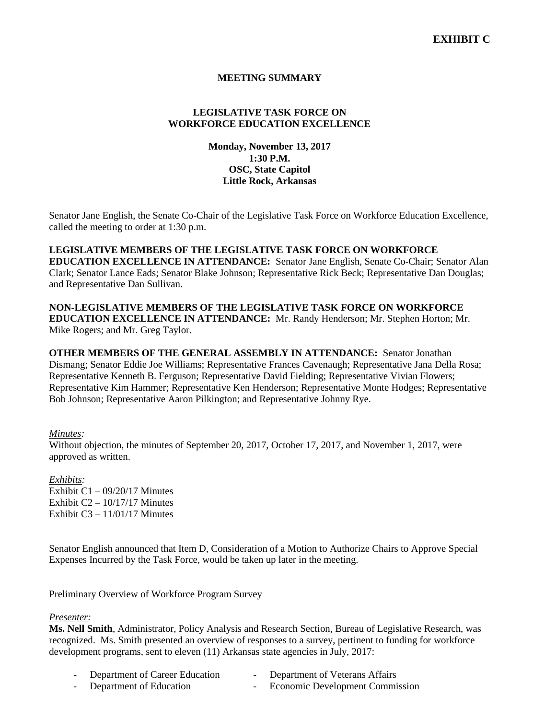# **MEETING SUMMARY**

# **LEGISLATIVE TASK FORCE ON WORKFORCE EDUCATION EXCELLENCE**

# **Monday, November 13, 2017 1:30 P.M. OSC, State Capitol Little Rock, Arkansas**

Senator Jane English, the Senate Co-Chair of the Legislative Task Force on Workforce Education Excellence, called the meeting to order at 1:30 p.m.

**LEGISLATIVE MEMBERS OF THE LEGISLATIVE TASK FORCE ON WORKFORCE EDUCATION EXCELLENCE IN ATTENDANCE:** Senator Jane English, Senate Co-Chair; Senator Alan Clark; Senator Lance Eads; Senator Blake Johnson; Representative Rick Beck; Representative Dan Douglas; and Representative Dan Sullivan.

**NON-LEGISLATIVE MEMBERS OF THE LEGISLATIVE TASK FORCE ON WORKFORCE EDUCATION EXCELLENCE IN ATTENDANCE:** Mr. Randy Henderson; Mr. Stephen Horton; Mr. Mike Rogers; and Mr. Greg Taylor.

**OTHER MEMBERS OF THE GENERAL ASSEMBLY IN ATTENDANCE:** Senator Jonathan Dismang; Senator Eddie Joe Williams; Representative Frances Cavenaugh; Representative Jana Della Rosa; Representative Kenneth B. Ferguson; Representative David Fielding; Representative Vivian Flowers; Representative Kim Hammer; Representative Ken Henderson; Representative Monte Hodges; Representative Bob Johnson; Representative Aaron Pilkington; and Representative Johnny Rye.

#### *Minutes:*

Without objection, the minutes of September 20, 2017, October 17, 2017, and November 1, 2017, were approved as written.

*Exhibits:* Exhibit C1 – 09/20/17 Minutes Exhibit  $C2 - 10/17/17$  Minutes Exhibit  $C3 - 11/01/17$  Minutes

Senator English announced that Item D, Consideration of a Motion to Authorize Chairs to Approve Special Expenses Incurred by the Task Force, would be taken up later in the meeting.

Preliminary Overview of Workforce Program Survey

*Presenter:*

**Ms. Nell Smith**, Administrator, Policy Analysis and Research Section, Bureau of Legislative Research, was recognized. Ms. Smith presented an overview of responses to a survey, pertinent to funding for workforce development programs, sent to eleven (11) Arkansas state agencies in July, 2017:

- Department of Career Education Department of Veterans Affairs
- Department of Education Economic Development Commission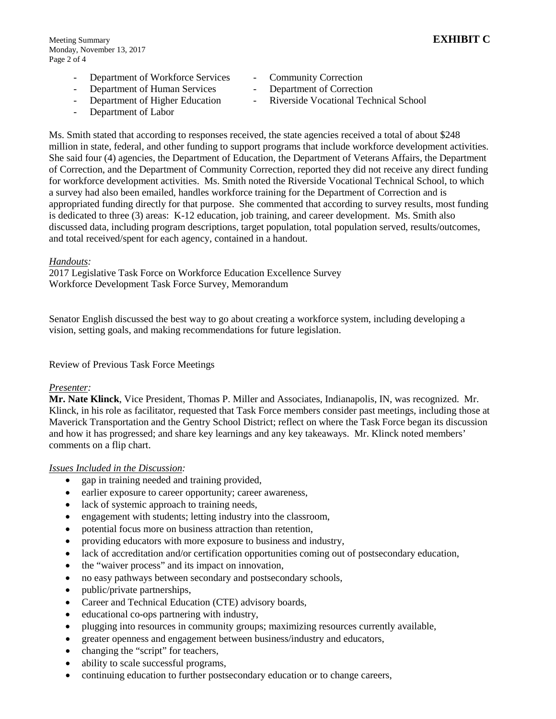- 
- Department of Workforce Services Community Correction
	- Department of Human Services Department of Correction
		-
- 
- 
- Department of Higher Education Riverside Vocational Technical School
- Department of Labor

Ms. Smith stated that according to responses received, the state agencies received a total of about \$248 million in state, federal, and other funding to support programs that include workforce development activities. She said four (4) agencies, the Department of Education, the Department of Veterans Affairs, the Department of Correction, and the Department of Community Correction, reported they did not receive any direct funding for workforce development activities. Ms. Smith noted the Riverside Vocational Technical School, to which a survey had also been emailed, handles workforce training for the Department of Correction and is appropriated funding directly for that purpose. She commented that according to survey results, most funding is dedicated to three (3) areas: K-12 education, job training, and career development. Ms. Smith also discussed data, including program descriptions, target population, total population served, results/outcomes, and total received/spent for each agency, contained in a handout.

### *Handouts:*

2017 Legislative Task Force on Workforce Education Excellence Survey Workforce Development Task Force Survey, Memorandum

Senator English discussed the best way to go about creating a workforce system, including developing a vision, setting goals, and making recommendations for future legislation.

## Review of Previous Task Force Meetings

#### *Presenter:*

**Mr. Nate Klinck**, Vice President, Thomas P. Miller and Associates, Indianapolis, IN, was recognized. Mr. Klinck, in his role as facilitator, requested that Task Force members consider past meetings, including those at Maverick Transportation and the Gentry School District; reflect on where the Task Force began its discussion and how it has progressed; and share key learnings and any key takeaways. Mr. Klinck noted members' comments on a flip chart.

#### *Issues Included in the Discussion:*

- gap in training needed and training provided,
- earlier exposure to career opportunity; career awareness,
- lack of systemic approach to training needs,
- engagement with students; letting industry into the classroom,
- potential focus more on business attraction than retention,
- providing educators with more exposure to business and industry,
- lack of accreditation and/or certification opportunities coming out of postsecondary education,
- the "waiver process" and its impact on innovation,
- no easy pathways between secondary and postsecondary schools,
- public/private partnerships,
- Career and Technical Education (CTE) advisory boards,
- educational co-ops partnering with industry,
- plugging into resources in community groups; maximizing resources currently available,
- greater openness and engagement between business/industry and educators,
- changing the "script" for teachers,
- ability to scale successful programs,
- continuing education to further postsecondary education or to change careers,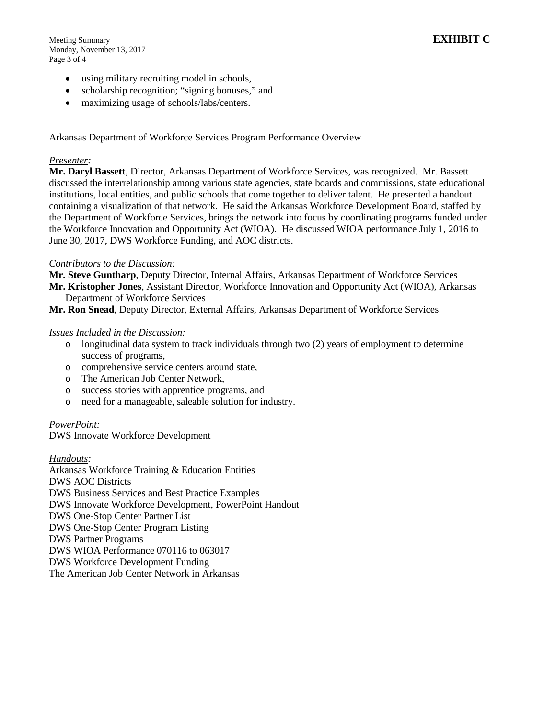Meeting Summary **EXHIBIT C** Monday, November 13, 2017 Page 3 of 4

- using military recruiting model in schools,
- scholarship recognition; "signing bonuses," and
- maximizing usage of schools/labs/centers.

Arkansas Department of Workforce Services Program Performance Overview

## *Presenter:*

**Mr. Daryl Bassett**, Director, Arkansas Department of Workforce Services, was recognized. Mr. Bassett discussed the interrelationship among various state agencies, state boards and commissions, state educational institutions, local entities, and public schools that come together to deliver talent. He presented a handout containing a visualization of that network. He said the Arkansas Workforce Development Board, staffed by the Department of Workforce Services, brings the network into focus by coordinating programs funded under the Workforce Innovation and Opportunity Act (WIOA). He discussed WIOA performance July 1, 2016 to June 30, 2017, DWS Workforce Funding, and AOC districts.

### *Contributors to the Discussion:*

**Mr. Steve Guntharp**, Deputy Director, Internal Affairs, Arkansas Department of Workforce Services **Mr. Kristopher Jones**, Assistant Director, Workforce Innovation and Opportunity Act (WIOA), Arkansas Department of Workforce Services

**Mr. Ron Snead**, Deputy Director, External Affairs, Arkansas Department of Workforce Services

#### *Issues Included in the Discussion:*

- o longitudinal data system to track individuals through two (2) years of employment to determine success of programs,
- o comprehensive service centers around state,
- o The American Job Center Network,
- o success stories with apprentice programs, and
- o need for a manageable, saleable solution for industry.

#### *PowerPoint:*

DWS Innovate Workforce Development

#### *Handouts:*

Arkansas Workforce Training & Education Entities DWS AOC Districts DWS Business Services and Best Practice Examples DWS Innovate Workforce Development, PowerPoint Handout DWS One-Stop Center Partner List DWS One-Stop Center Program Listing DWS Partner Programs DWS WIOA Performance 070116 to 063017 DWS Workforce Development Funding The American Job Center Network in Arkansas